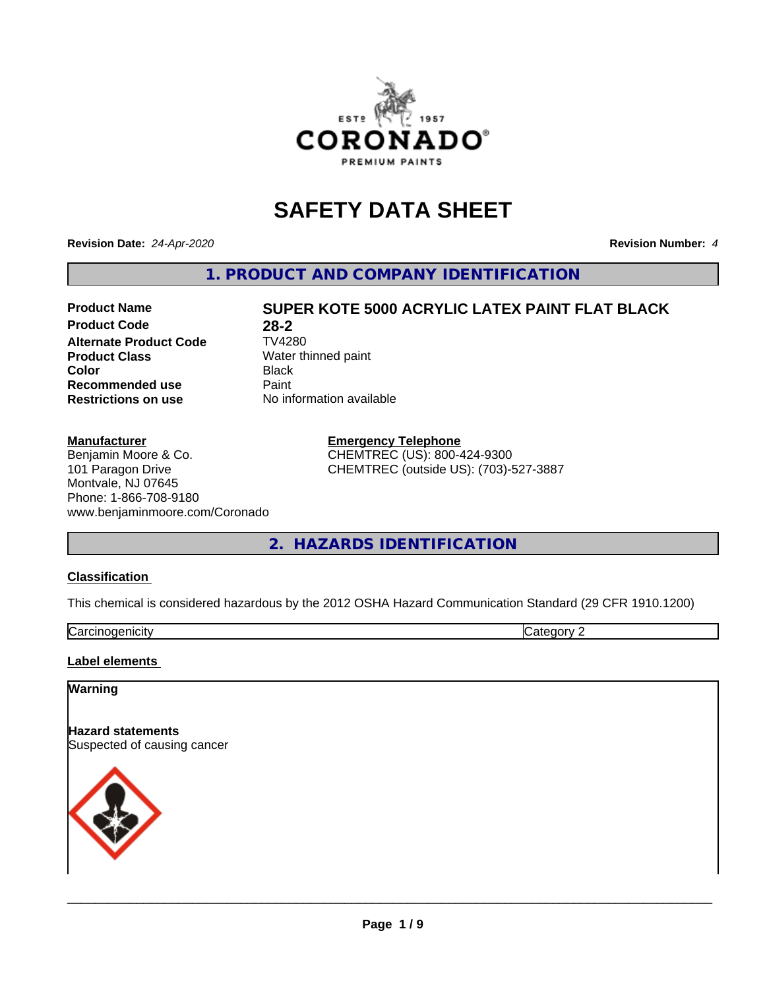

# **SAFETY DATA SHEET**

**Revision Date:** *24-Apr-2020* **Revision Number:** *4*

**1. PRODUCT AND COMPANY IDENTIFICATION**

# **Product Code** 28-2<br> **Alternate Product Code** TV4280 **Alternate Product Code Product Class** Water thinned paint<br> **Color** Black **Color** Black **Recommended use** Paint **Restrictions on use** No information available

# **Manufacturer**

Benjamin Moore & Co. 101 Paragon Drive Montvale, NJ 07645 Phone: 1-866-708-9180 www.benjaminmoore.com/Coronado

**Product Name SUPER KOTE 5000 ACRYLIC LATEX PAINT FLAT BLACK**

**Emergency Telephone** CHEMTREC (US): 800-424-9300 CHEMTREC (outside US): (703)-527-3887

**2. HAZARDS IDENTIFICATION**

# **Classification**

This chemical is considered hazardous by the 2012 OSHA Hazard Communication Standard (29 CFR 1910.1200)

Carcinogenicity **Category 2** 

#### **Label elements**

# **Warning**

**Hazard statements** Suspected of causing cancer

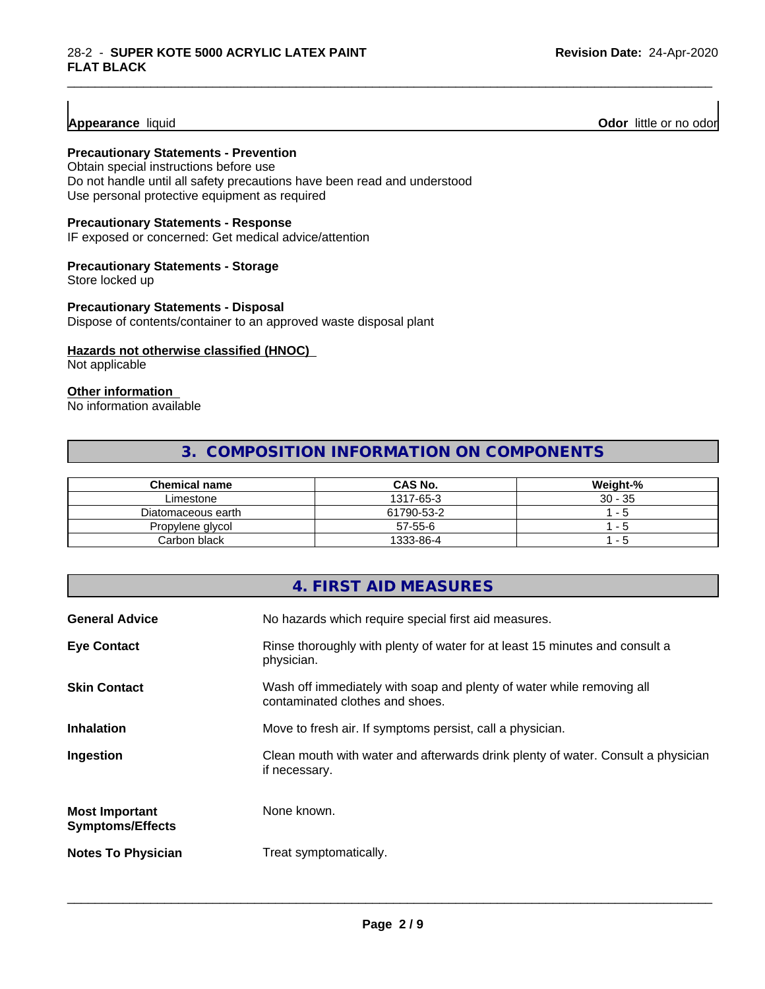# **Appearance** liquid

**Odor** little or no odor

# **Precautionary Statements - Prevention**

Obtain special instructions before use Do not handle until all safety precautions have been read and understood Use personal protective equipment as required

# **Precautionary Statements - Response**

IF exposed or concerned: Get medical advice/attention

# **Precautionary Statements - Storage**

Store locked up

# **Precautionary Statements - Disposal**

Dispose of contents/container to an approved waste disposal plant

# **Hazards not otherwise classified (HNOC)**

Not applicable

#### **Other information**

No information available

# **3. COMPOSITION INFORMATION ON COMPONENTS**

\_\_\_\_\_\_\_\_\_\_\_\_\_\_\_\_\_\_\_\_\_\_\_\_\_\_\_\_\_\_\_\_\_\_\_\_\_\_\_\_\_\_\_\_\_\_\_\_\_\_\_\_\_\_\_\_\_\_\_\_\_\_\_\_\_\_\_\_\_\_\_\_\_\_\_\_\_\_\_\_\_\_\_\_\_\_\_\_\_\_\_\_\_

| <b>Chemical name</b> | <b>CAS No.</b> | Weight-%  |
|----------------------|----------------|-----------|
| Limestone            | 1317-65-3      | $30 - 35$ |
| Diatomaceous earth   | 61790-53-2     | $ -$      |
| Propylene glycol     | $57 - 55 - 6$  | - 0       |
| Carbon black         | 1333-86-4      | - 5       |

# **4. FIRST AID MEASURES**

| <b>General Advice</b>                            | No hazards which require special first aid measures.                                                     |
|--------------------------------------------------|----------------------------------------------------------------------------------------------------------|
| <b>Eye Contact</b>                               | Rinse thoroughly with plenty of water for at least 15 minutes and consult a<br>physician.                |
| <b>Skin Contact</b>                              | Wash off immediately with soap and plenty of water while removing all<br>contaminated clothes and shoes. |
| <b>Inhalation</b>                                | Move to fresh air. If symptoms persist, call a physician.                                                |
| Ingestion                                        | Clean mouth with water and afterwards drink plenty of water. Consult a physician<br>if necessary.        |
| <b>Most Important</b><br><b>Symptoms/Effects</b> | None known.                                                                                              |
| <b>Notes To Physician</b>                        | Treat symptomatically.                                                                                   |
|                                                  |                                                                                                          |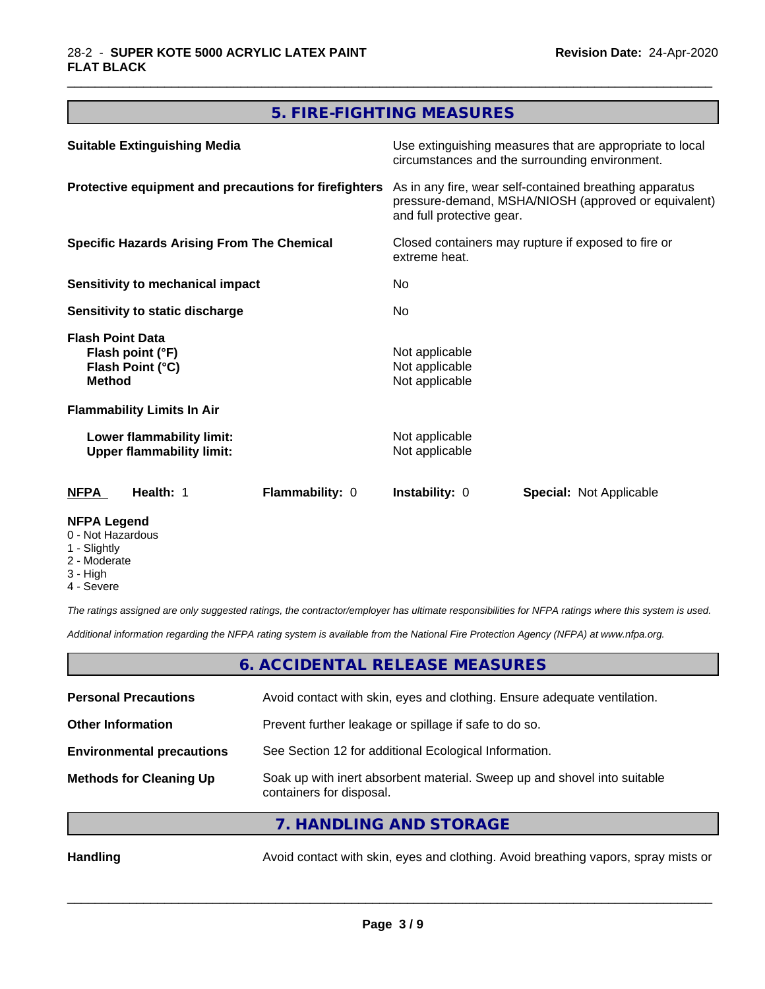# **5. FIRE-FIGHTING MEASURES**

\_\_\_\_\_\_\_\_\_\_\_\_\_\_\_\_\_\_\_\_\_\_\_\_\_\_\_\_\_\_\_\_\_\_\_\_\_\_\_\_\_\_\_\_\_\_\_\_\_\_\_\_\_\_\_\_\_\_\_\_\_\_\_\_\_\_\_\_\_\_\_\_\_\_\_\_\_\_\_\_\_\_\_\_\_\_\_\_\_\_\_\_\_

| <b>Suitable Extinguishing Media</b>                                              | Use extinguishing measures that are appropriate to local<br>circumstances and the surrounding environment.<br>As in any fire, wear self-contained breathing apparatus<br>pressure-demand, MSHA/NIOSH (approved or equivalent)<br>and full protective gear.<br>Closed containers may rupture if exposed to fire or<br>extreme heat.<br>No.<br>No. |  |
|----------------------------------------------------------------------------------|--------------------------------------------------------------------------------------------------------------------------------------------------------------------------------------------------------------------------------------------------------------------------------------------------------------------------------------------------|--|
| Protective equipment and precautions for firefighters                            |                                                                                                                                                                                                                                                                                                                                                  |  |
| <b>Specific Hazards Arising From The Chemical</b>                                |                                                                                                                                                                                                                                                                                                                                                  |  |
| Sensitivity to mechanical impact                                                 |                                                                                                                                                                                                                                                                                                                                                  |  |
| Sensitivity to static discharge                                                  |                                                                                                                                                                                                                                                                                                                                                  |  |
| <b>Flash Point Data</b><br>Flash point (°F)<br>Flash Point (°C)<br><b>Method</b> | Not applicable<br>Not applicable<br>Not applicable                                                                                                                                                                                                                                                                                               |  |
| <b>Flammability Limits In Air</b>                                                |                                                                                                                                                                                                                                                                                                                                                  |  |
| Lower flammability limit:<br><b>Upper flammability limit:</b>                    | Not applicable<br>Not applicable                                                                                                                                                                                                                                                                                                                 |  |
| Health: 1<br>Flammability: 0<br>NFPA                                             | <b>Instability: 0</b><br><b>Special: Not Applicable</b>                                                                                                                                                                                                                                                                                          |  |
| <b>NFPA Legend</b>                                                               |                                                                                                                                                                                                                                                                                                                                                  |  |

- 0 Not Hazardous
- 1 Slightly
- 2 Moderate
- 3 High
- 4 Severe

*The ratings assigned are only suggested ratings, the contractor/employer has ultimate responsibilities for NFPA ratings where this system is used.*

*Additional information regarding the NFPA rating system is available from the National Fire Protection Agency (NFPA) at www.nfpa.org.*

# **6. ACCIDENTAL RELEASE MEASURES**

| <b>Personal Precautions</b>      | Avoid contact with skin, eyes and clothing. Ensure adequate ventilation.                             |
|----------------------------------|------------------------------------------------------------------------------------------------------|
| <b>Other Information</b>         | Prevent further leakage or spillage if safe to do so.                                                |
| <b>Environmental precautions</b> | See Section 12 for additional Ecological Information.                                                |
| <b>Methods for Cleaning Up</b>   | Soak up with inert absorbent material. Sweep up and shovel into suitable<br>containers for disposal. |
|                                  | $\overline{z}$ in the start into $\overline{z}$                                                      |

**7. HANDLING AND STORAGE**

Handling **Handling** Avoid contact with skin, eyes and clothing. Avoid breathing vapors, spray mists or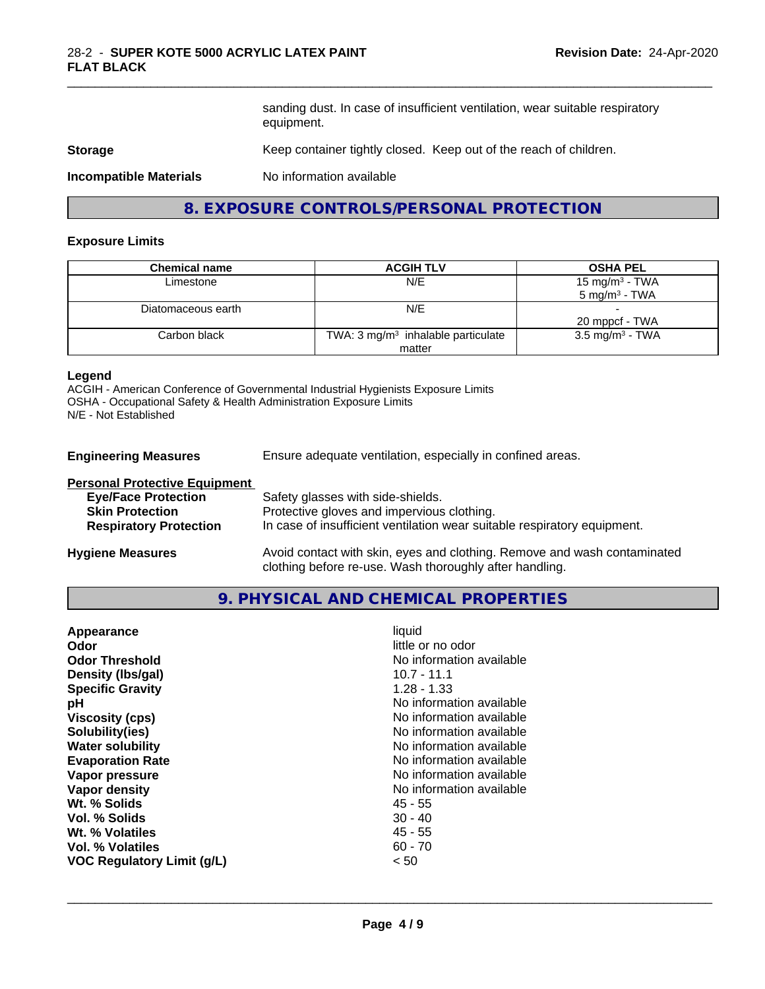sanding dust. In case of insufficient ventilation, wear suitable respiratory equipment.

\_\_\_\_\_\_\_\_\_\_\_\_\_\_\_\_\_\_\_\_\_\_\_\_\_\_\_\_\_\_\_\_\_\_\_\_\_\_\_\_\_\_\_\_\_\_\_\_\_\_\_\_\_\_\_\_\_\_\_\_\_\_\_\_\_\_\_\_\_\_\_\_\_\_\_\_\_\_\_\_\_\_\_\_\_\_\_\_\_\_\_\_\_

#### **Storage** Keep container tightly closed. Keep out of the reach of children.

**Incompatible Materials** No information available

# **8. EXPOSURE CONTROLS/PERSONAL PROTECTION**

#### **Exposure Limits**

| <b>Chemical name</b> | <b>ACGIH TLV</b>                               | <b>OSHA PEL</b>             |
|----------------------|------------------------------------------------|-----------------------------|
| Limestone            | N/E                                            | 15 mg/m $3$ - TWA           |
|                      |                                                | $5 \text{ mg/m}^3$ - TWA    |
| Diatomaceous earth   | N/E                                            |                             |
|                      |                                                | 20 mppcf - TWA              |
| Carbon black         | TWA: 3 mg/m <sup>3</sup> inhalable particulate | 3.5 mg/m <sup>3</sup> - TWA |
|                      | matter                                         |                             |

#### **Legend**

ACGIH - American Conference of Governmental Industrial Hygienists Exposure Limits OSHA - Occupational Safety & Health Administration Exposure Limits N/E - Not Established

**Engineering Measures** Ensure adequate ventilation, especially in confined areas.

| <b>Personal Protective Equipment</b> |                                                                                                                                     |
|--------------------------------------|-------------------------------------------------------------------------------------------------------------------------------------|
| <b>Eye/Face Protection</b>           | Safety glasses with side-shields.                                                                                                   |
| <b>Skin Protection</b>               | Protective gloves and impervious clothing.                                                                                          |
| <b>Respiratory Protection</b>        | In case of insufficient ventilation wear suitable respiratory equipment.                                                            |
| <b>Hygiene Measures</b>              | Avoid contact with skin, eyes and clothing. Remove and wash contaminated<br>clothing before re-use. Wash thoroughly after handling. |

## **9. PHYSICAL AND CHEMICAL PROPERTIES**

| $10.7 - 11.1$<br>Density (Ibs/gal)<br>$1.28 - 1.33$<br><b>Specific Gravity</b><br>No information available<br>рH<br>No information available<br><b>Viscosity (cps)</b><br>No information available<br>Solubility(ies)<br>No information available<br><b>Water solubility</b><br>No information available<br><b>Evaporation Rate</b><br>No information available<br>Vapor pressure<br>No information available<br><b>Vapor density</b><br>Wt. % Solids<br>45 - 55<br>Vol. % Solids<br>$30 - 40$<br>$45 - 55$<br>Wt. % Volatiles<br>$60 - 70$<br>Vol. % Volatiles<br>< 50<br>VOC Regulatory Limit (g/L) | Appearance<br>Odor<br><b>Odor Threshold</b> | liquid<br>little or no odor<br>No information available |  |
|-------------------------------------------------------------------------------------------------------------------------------------------------------------------------------------------------------------------------------------------------------------------------------------------------------------------------------------------------------------------------------------------------------------------------------------------------------------------------------------------------------------------------------------------------------------------------------------------------------|---------------------------------------------|---------------------------------------------------------|--|
|-------------------------------------------------------------------------------------------------------------------------------------------------------------------------------------------------------------------------------------------------------------------------------------------------------------------------------------------------------------------------------------------------------------------------------------------------------------------------------------------------------------------------------------------------------------------------------------------------------|---------------------------------------------|---------------------------------------------------------|--|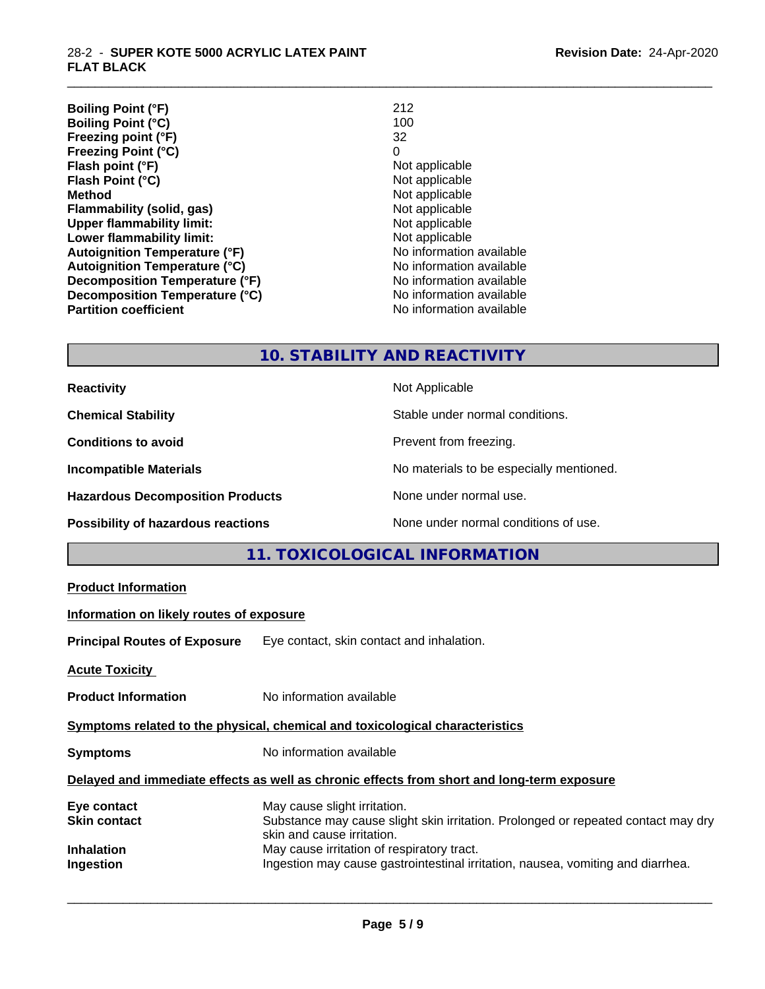| <b>Boiling Point (°F)</b>            | 212                      |
|--------------------------------------|--------------------------|
| <b>Boiling Point (°C)</b>            | 100                      |
| Freezing point (°F)                  | 32                       |
| <b>Freezing Point (°C)</b>           | 0                        |
| Flash point (°F)                     | Not applicable           |
| Flash Point (°C)                     | Not applicable           |
| <b>Method</b>                        | Not applicable           |
| Flammability (solid, gas)            | Not applicable           |
| <b>Upper flammability limit:</b>     | Not applicable           |
| Lower flammability limit:            | Not applicable           |
| <b>Autoignition Temperature (°F)</b> | No information available |
| <b>Autoignition Temperature (°C)</b> | No information available |
| Decomposition Temperature (°F)       | No information available |
| Decomposition Temperature (°C)       | No information available |
| <b>Partition coefficient</b>         | No information available |

\_\_\_\_\_\_\_\_\_\_\_\_\_\_\_\_\_\_\_\_\_\_\_\_\_\_\_\_\_\_\_\_\_\_\_\_\_\_\_\_\_\_\_\_\_\_\_\_\_\_\_\_\_\_\_\_\_\_\_\_\_\_\_\_\_\_\_\_\_\_\_\_\_\_\_\_\_\_\_\_\_\_\_\_\_\_\_\_\_\_\_\_\_

# **10. STABILITY AND REACTIVITY**

| <b>Reactivity</b>                         | Not Applicable                           |
|-------------------------------------------|------------------------------------------|
| <b>Chemical Stability</b>                 | Stable under normal conditions.          |
| <b>Conditions to avoid</b>                | Prevent from freezing.                   |
| <b>Incompatible Materials</b>             | No materials to be especially mentioned. |
| <b>Hazardous Decomposition Products</b>   | None under normal use.                   |
| <b>Possibility of hazardous reactions</b> | None under normal conditions of use.     |

# **11. TOXICOLOGICAL INFORMATION**

| <b>Product Information</b>                                                                 |                                                                                                                                                 |  |
|--------------------------------------------------------------------------------------------|-------------------------------------------------------------------------------------------------------------------------------------------------|--|
| Information on likely routes of exposure                                                   |                                                                                                                                                 |  |
|                                                                                            | Principal Routes of Exposure Eye contact, skin contact and inhalation.                                                                          |  |
| <u> Acute Toxicity</u>                                                                     |                                                                                                                                                 |  |
| <b>Product Information</b>                                                                 | No information available                                                                                                                        |  |
| Symptoms related to the physical, chemical and toxicological characteristics               |                                                                                                                                                 |  |
| <b>Symptoms</b>                                                                            | No information available                                                                                                                        |  |
| Delayed and immediate effects as well as chronic effects from short and long-term exposure |                                                                                                                                                 |  |
| Eye contact<br>Skin contact                                                                | May cause slight irritation.<br>Substance may cause slight skin irritation. Prolonged or repeated contact may dry<br>skin and cause irritation. |  |
| Inhalation<br>Ingestion                                                                    | May cause irritation of respiratory tract.<br>Ingestion may cause gastrointestinal irritation, nausea, vomiting and diarrhea.                   |  |
|                                                                                            |                                                                                                                                                 |  |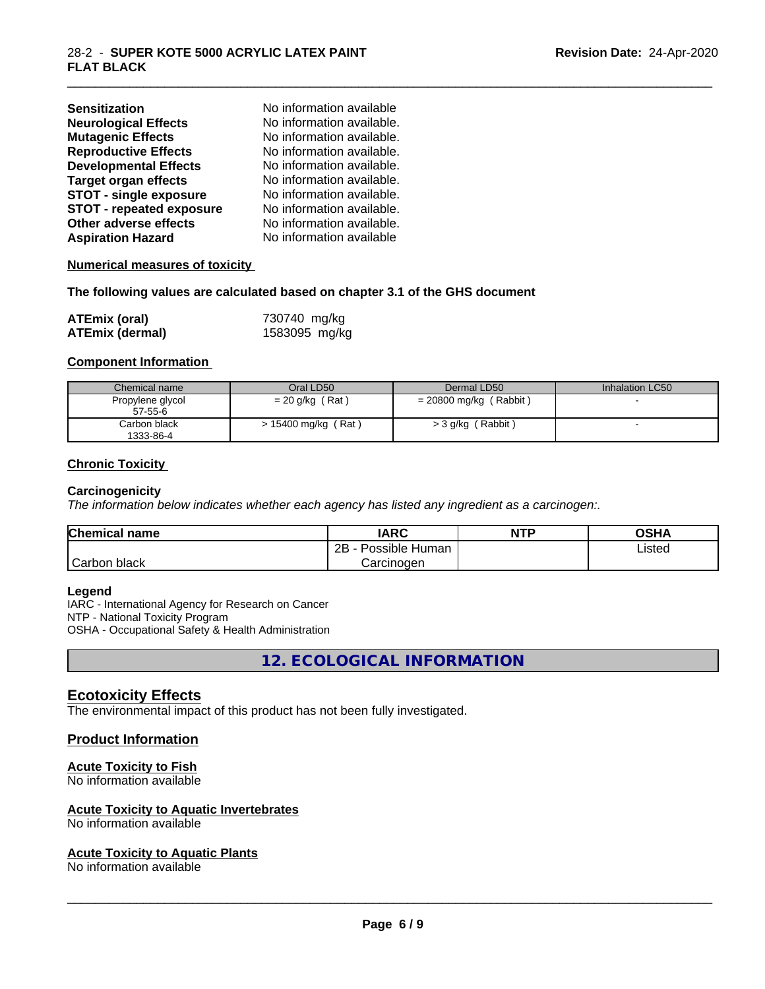| <b>Sensitization</b>            | No information available  |
|---------------------------------|---------------------------|
| <b>Neurological Effects</b>     | No information available. |
| <b>Mutagenic Effects</b>        | No information available. |
| <b>Reproductive Effects</b>     | No information available. |
| <b>Developmental Effects</b>    | No information available. |
| <b>Target organ effects</b>     | No information available. |
| <b>STOT - single exposure</b>   | No information available. |
| <b>STOT - repeated exposure</b> | No information available. |
| Other adverse effects           | No information available. |
| <b>Aspiration Hazard</b>        | No information available  |

#### **Numerical measures of toxicity**

#### **The following values are calculated based on chapter 3.1 of the GHS document**

| <b>ATEmix (oral)</b>   | 730740 mg/kg  |
|------------------------|---------------|
| <b>ATEmix (dermal)</b> | 1583095 mg/kg |

#### **Component Information**

| Chemical name                     | Oral LD50              | Dermal LD50              | Inhalation LC50 |
|-----------------------------------|------------------------|--------------------------|-----------------|
| Propylene glycol<br>$57 - 55 - 6$ | $= 20$ g/kg (Rat)      | $= 20800$ mg/kg (Rabbit) |                 |
| Carbon black<br>1333-86-4         | (Rat)<br>15400 mg/kg ( | (Rabbit)<br>$>$ 3 g/kg ( |                 |

\_\_\_\_\_\_\_\_\_\_\_\_\_\_\_\_\_\_\_\_\_\_\_\_\_\_\_\_\_\_\_\_\_\_\_\_\_\_\_\_\_\_\_\_\_\_\_\_\_\_\_\_\_\_\_\_\_\_\_\_\_\_\_\_\_\_\_\_\_\_\_\_\_\_\_\_\_\_\_\_\_\_\_\_\_\_\_\_\_\_\_\_\_

#### **Chronic Toxicity**

#### **Carcinogenicity**

*The information below indicateswhether each agency has listed any ingredient as a carcinogen:.*

| <b>Chemical name</b> | <b>IARC</b>                 | <b>NTP</b> | <b>OSHA</b> |
|----------------------|-----------------------------|------------|-------------|
|                      | . .<br>2B<br>Possible Human |            | Listed      |
| Carbon<br>black      | Carcinogen                  |            |             |

#### **Legend**

IARC - International Agency for Research on Cancer NTP - National Toxicity Program OSHA - Occupational Safety & Health Administration

**12. ECOLOGICAL INFORMATION**

# **Ecotoxicity Effects**

The environmental impact of this product has not been fully investigated.

#### **Product Information**

#### **Acute Toxicity to Fish**

No information available

#### **Acute Toxicity to Aquatic Invertebrates**

No information available

#### **Acute Toxicity to Aquatic Plants**

No information available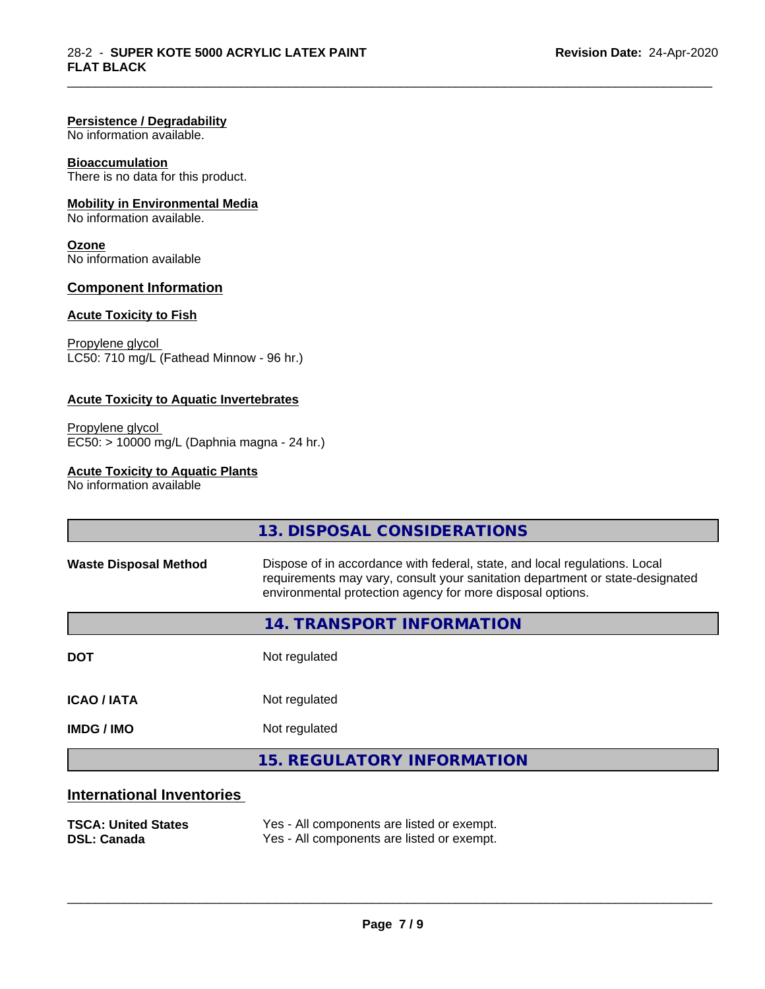#### **Persistence / Degradability**

No information available.

### **Bioaccumulation**

There is no data for this product.

# **Mobility in Environmental Media**

No information available.

# **Ozone**

No information available

## **Component Information**

## **Acute Toxicity to Fish**

Propylene glycol LC50: 710 mg/L (Fathead Minnow - 96 hr.)

#### **Acute Toxicity to Aquatic Invertebrates**

Propylene glycol EC50: > 10000 mg/L (Daphnia magna - 24 hr.)

### **Acute Toxicity to Aquatic Plants**

No information available

|                              | 13. DISPOSAL CONSIDERATIONS                                                                                                                                                                                               |
|------------------------------|---------------------------------------------------------------------------------------------------------------------------------------------------------------------------------------------------------------------------|
| <b>Waste Disposal Method</b> | Dispose of in accordance with federal, state, and local regulations. Local<br>requirements may vary, consult your sanitation department or state-designated<br>environmental protection agency for more disposal options. |
|                              | 14. TRANSPORT INFORMATION                                                                                                                                                                                                 |
| <b>DOT</b>                   | Not regulated                                                                                                                                                                                                             |
| <b>ICAO / IATA</b>           | Not regulated                                                                                                                                                                                                             |
| <b>IMDG / IMO</b>            | Not regulated                                                                                                                                                                                                             |
|                              | <b>15. REGULATORY INFORMATION</b>                                                                                                                                                                                         |
| International Inventories    |                                                                                                                                                                                                                           |

\_\_\_\_\_\_\_\_\_\_\_\_\_\_\_\_\_\_\_\_\_\_\_\_\_\_\_\_\_\_\_\_\_\_\_\_\_\_\_\_\_\_\_\_\_\_\_\_\_\_\_\_\_\_\_\_\_\_\_\_\_\_\_\_\_\_\_\_\_\_\_\_\_\_\_\_\_\_\_\_\_\_\_\_\_\_\_\_\_\_\_\_\_

#### **International Inventories**

| <b>TSCA: United States</b> | Yes - All components are listed or exempt. |
|----------------------------|--------------------------------------------|
| <b>DSL: Canada</b>         | Yes - All components are listed or exempt. |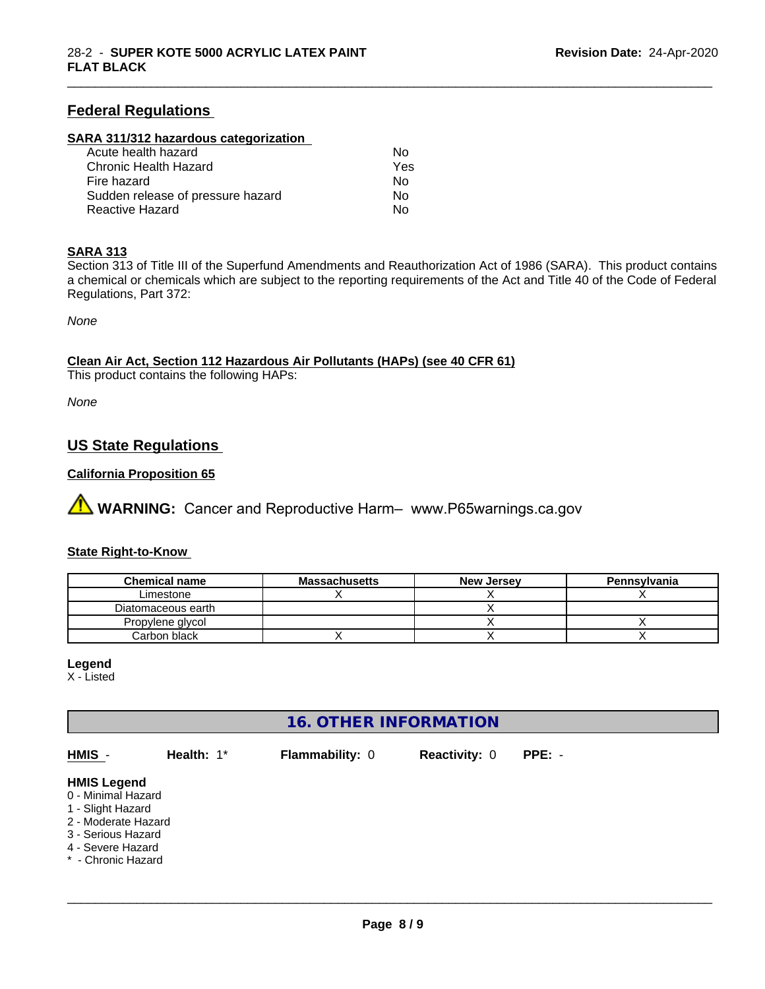# **Federal Regulations**

# **SARA 311/312 hazardous categorization**

| Acute health hazard               | Nο  |  |
|-----------------------------------|-----|--|
| Chronic Health Hazard             | Yes |  |
| Fire hazard                       | N٥  |  |
| Sudden release of pressure hazard | Nο  |  |
| Reactive Hazard                   | Nο  |  |

#### **SARA 313**

Section 313 of Title III of the Superfund Amendments and Reauthorization Act of 1986 (SARA). This product contains a chemical or chemicals which are subject to the reporting requirements of the Act and Title 40 of the Code of Federal Regulations, Part 372:

\_\_\_\_\_\_\_\_\_\_\_\_\_\_\_\_\_\_\_\_\_\_\_\_\_\_\_\_\_\_\_\_\_\_\_\_\_\_\_\_\_\_\_\_\_\_\_\_\_\_\_\_\_\_\_\_\_\_\_\_\_\_\_\_\_\_\_\_\_\_\_\_\_\_\_\_\_\_\_\_\_\_\_\_\_\_\_\_\_\_\_\_\_

*None*

**Clean Air Act,Section 112 Hazardous Air Pollutants (HAPs) (see 40 CFR 61)**

This product contains the following HAPs:

*None*

# **US State Regulations**

# **California Proposition 65**

**AVIMARNING:** Cancer and Reproductive Harm– www.P65warnings.ca.gov

## **State Right-to-Know**

| <b>Chemical name</b> | <b>Massachusetts</b> | <b>New Jersey</b> | Pennsylvania |
|----------------------|----------------------|-------------------|--------------|
| Limestone            |                      |                   |              |
| Diatomaceous earth   |                      |                   |              |
| Propylene glycol     |                      |                   |              |
| Carbon black         |                      |                   |              |

#### **Legend**

X - Listed

# **16. OTHER INFORMATION**

| HMIS -                                                                                                                                                | Health: 1* | <b>Flammability: 0</b> | <b>Reactivity: 0</b> | $PPE: -$ |
|-------------------------------------------------------------------------------------------------------------------------------------------------------|------------|------------------------|----------------------|----------|
| <b>HMIS Legend</b><br>0 - Minimal Hazard<br>1 - Slight Hazard<br>2 - Moderate Hazard<br>3 - Serious Hazard<br>4 - Severe Hazard<br>* - Chronic Hazard |            |                        |                      |          |